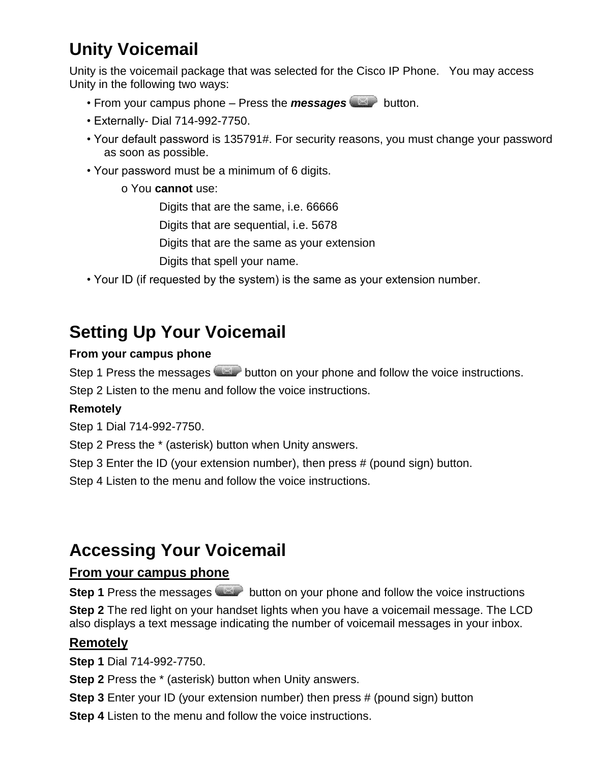# **Unity Voicemail**

Unity is the voicemail package that was selected for the Cisco IP Phone. You may access Unity in the following two ways:

- From your campus phone Press the **messages** button.
- Externally- Dial 714-992-7750.
- Your default password is 135791#. For security reasons, you must change your password as soon as possible.
- Your password must be a minimum of 6 digits.
	- o You **cannot** use:

Digits that are the same, i.e. 66666

Digits that are sequential, i.e. 5678

Digits that are the same as your extension

Digits that spell your name.

• Your ID (if requested by the system) is the same as your extension number.

## **Setting Up Your Voicemail**

#### **From your campus phone**

Step 1 Press the messages button on your phone and follow the voice instructions.

Step 2 Listen to the menu and follow the voice instructions.

#### **Remotely**

Step 1 Dial 714-992-7750.

Step 2 Press the \* (asterisk) button when Unity answers.

Step 3 Enter the ID (your extension number), then press # (pound sign) button.

Step 4 Listen to the menu and follow the voice instructions.

## **Accessing Your Voicemail**

#### **From your campus phone**

**Step 1** Press the messages button on your phone and follow the voice instructions **Step 2** The red light on your handset lights when you have a voicemail message. The LCD also displays a text message indicating the number of voicemail messages in your inbox.

#### **Remotely**

**Step 1** Dial 714-992-7750.

**Step 2** Press the \* (asterisk) button when Unity answers.

**Step 3** Enter your ID (your extension number) then press # (pound sign) button

**Step 4** Listen to the menu and follow the voice instructions.